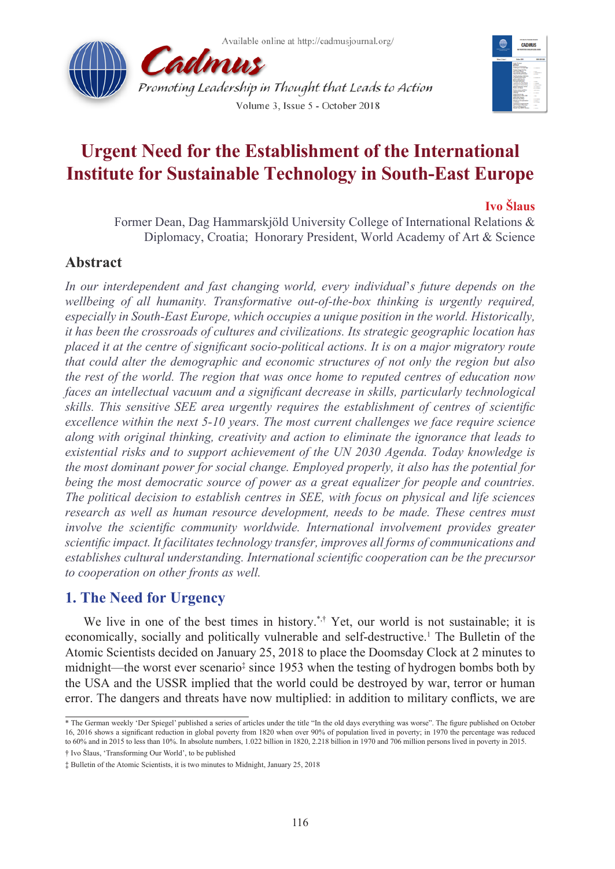



# **Urgent Need for the Establishment of the International Institute for Sustainable Technology in South-East Europe**

### **Ivo Šlaus**

Former Dean, Dag Hammarskjöld University College of International Relations & Diplomacy, Croatia; Honorary President, World Academy of Art & Science

# **Abstract**

*In our interdependent and fast changing world, every individual*'*s future depends on the wellbeing of all humanity. Transformative out-of-the-box thinking is urgently required, especially in South-East Europe, which occupies a unique position in the world. Historically, it has been the crossroads of cultures and civilizations. Its strategic geographic location has placed it at the centre of significant socio-political actions. It is on a major migratory route that could alter the demographic and economic structures of not only the region but also the rest of the world. The region that was once home to reputed centres of education now faces an intellectual vacuum and a significant decrease in skills, particularly technological skills. This sensitive SEE area urgently requires the establishment of centres of scientific excellence within the next 5-10 years. The most current challenges we face require science along with original thinking, creativity and action to eliminate the ignorance that leads to existential risks and to support achievement of the UN 2030 Agenda. Today knowledge is the most dominant power for social change. Employed properly, it also has the potential for being the most democratic source of power as a great equalizer for people and countries. The political decision to establish centres in SEE, with focus on physical and life sciences research as well as human resource development, needs to be made. These centres must involve the scientific community worldwide. International involvement provides greater scientific impact. It facilitates technology transfer, improves all forms of communications and establishes cultural understanding. International scientific cooperation can be the precursor to cooperation on other fronts as well.*

# **1. The Need for Urgency**

We live in one of the best times in history.<sup>\*,†</sup> Yet, our world is not sustainable; it is economically, socially and politically vulnerable and self-destructive.<sup>1</sup> The Bulletin of the Atomic Scientists decided on January 25, 2018 to place the Doomsday Clock at 2 minutes to midnight—the worst ever scenario<sup>‡</sup> since 1953 when the testing of hydrogen bombs both by the USA and the USSR implied that the world could be destroyed by war, terror or human error. The dangers and threats have now multiplied: in addition to military conflicts, we are

<sup>\*</sup> The German weekly 'Der Spiegel' published a series of articles under the title "In the old days everything was worse". The figure published on October 16, 2016 shows a significant reduction in global poverty from 1820 when over 90% of population lived in poverty; in 1970 the percentage was reduced to 60% and in 2015 to less than 10%. In absolute numbers, 1.022 billion in 1820, 2.218 billion in 1970 and 706 million persons lived in poverty in 2015. † Ivo Šlaus, 'Transforming Our World', to be published

<sup>‡</sup> Bulletin of the Atomic Scientists, it is two minutes to Midnight, January 25, 2018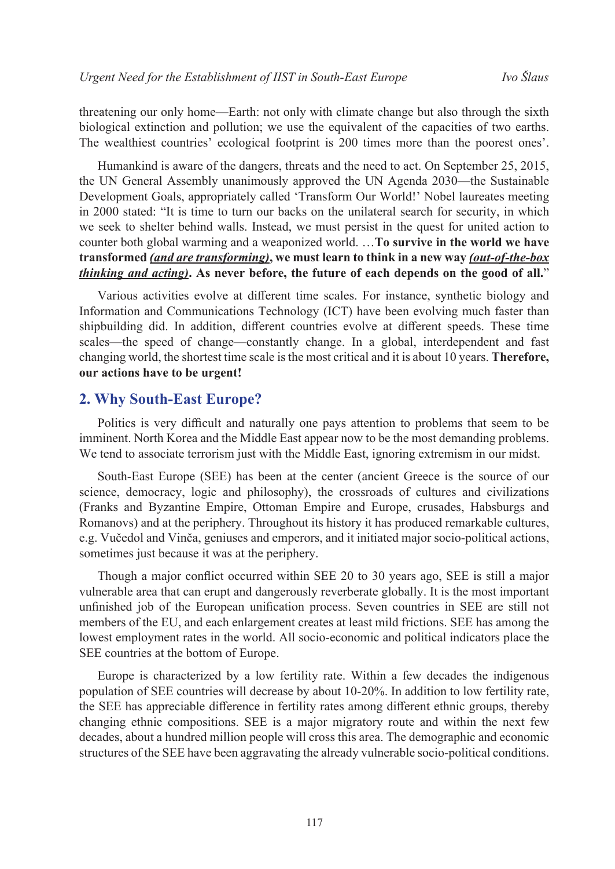threatening our only home—Earth: not only with climate change but also through the sixth biological extinction and pollution; we use the equivalent of the capacities of two earths. The wealthiest countries' ecological footprint is 200 times more than the poorest ones'.

Humankind is aware of the dangers, threats and the need to act. On September 25, 2015, the UN General Assembly unanimously approved the UN Agenda 2030—the Sustainable Development Goals, appropriately called 'Transform Our World!' Nobel laureates meeting in 2000 stated: "It is time to turn our backs on the unilateral search for security, in which we seek to shelter behind walls. Instead, we must persist in the quest for united action to counter both global warming and a weaponized world. …**To survive in the world we have transformed** *(and are transforming)***, we must learn to think in a new way** *(out-of-the-box thinking and acting)***. As never before, the future of each depends on the good of all.**"

Various activities evolve at different time scales. For instance, synthetic biology and Information and Communications Technology (ICT) have been evolving much faster than shipbuilding did. In addition, different countries evolve at different speeds. These time scales—the speed of change—constantly change. In a global, interdependent and fast changing world, the shortest time scale is the most critical and it is about 10 years. **Therefore, our actions have to be urgent!** 

### **2. Why South-East Europe?**

Politics is very difficult and naturally one pays attention to problems that seem to be imminent. North Korea and the Middle East appear now to be the most demanding problems. We tend to associate terrorism just with the Middle East, ignoring extremism in our midst.

South-East Europe (SEE) has been at the center (ancient Greece is the source of our science, democracy, logic and philosophy), the crossroads of cultures and civilizations (Franks and Byzantine Empire, Ottoman Empire and Europe, crusades, Habsburgs and Romanovs) and at the periphery. Throughout its history it has produced remarkable cultures, e.g. Vučedol and Vinča, geniuses and emperors, and it initiated major socio-political actions, sometimes just because it was at the periphery.

Though a major conflict occurred within SEE 20 to 30 years ago, SEE is still a major vulnerable area that can erupt and dangerously reverberate globally. It is the most important unfinished job of the European unification process. Seven countries in SEE are still not members of the EU, and each enlargement creates at least mild frictions. SEE has among the lowest employment rates in the world. All socio-economic and political indicators place the SEE countries at the bottom of Europe.

Europe is characterized by a low fertility rate. Within a few decades the indigenous population of SEE countries will decrease by about 10-20%. In addition to low fertility rate, the SEE has appreciable difference in fertility rates among different ethnic groups, thereby changing ethnic compositions. SEE is a major migratory route and within the next few decades, about a hundred million people will cross this area. The demographic and economic structures of the SEE have been aggravating the already vulnerable socio-political conditions.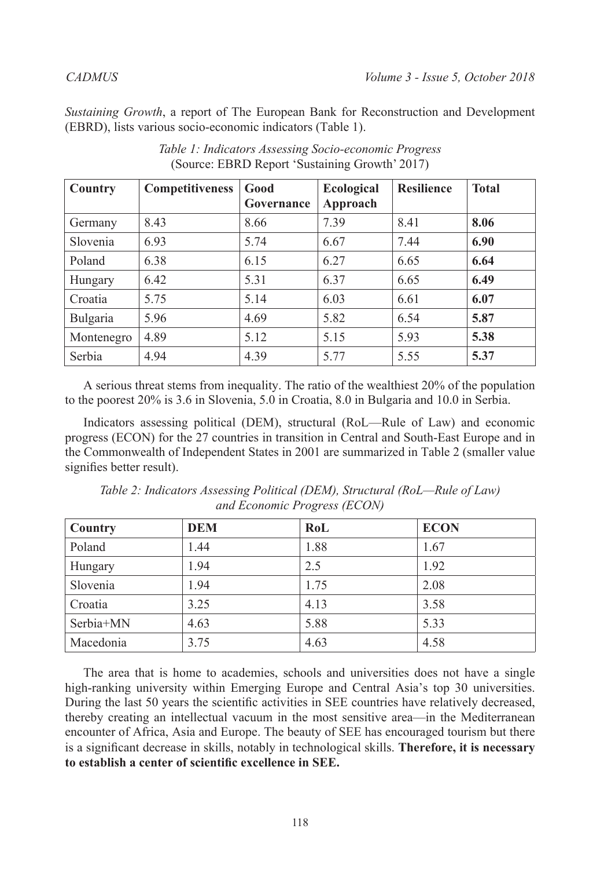*Sustaining Growth*, a report of The European Bank for Reconstruction and Development (EBRD), lists various socio-economic indicators (Table 1).

| Country    | <b>Competitiveness</b> | Good<br>Governance | <b>Ecological</b><br>Approach | <b>Resilience</b> | <b>Total</b> |
|------------|------------------------|--------------------|-------------------------------|-------------------|--------------|
| Germany    | 8.43                   | 8.66               | 7.39                          | 8.41              | 8.06         |
| Slovenia   | 6.93                   | 5.74               | 6.67                          | 7.44              | 6.90         |
| Poland     | 6.38                   | 6.15               | 6.27                          | 6.65              | 6.64         |
| Hungary    | 6.42                   | 5.31               | 6.37                          | 6.65              | 6.49         |
| Croatia    | 5.75                   | 5.14               | 6.03                          | 6.61              | 6.07         |
| Bulgaria   | 5.96                   | 4.69               | 5.82                          | 6.54              | 5.87         |
| Montenegro | 4.89                   | 5.12               | 5.15                          | 5.93              | 5.38         |
| Serbia     | 4.94                   | 4.39               | 5.77                          | 5.55              | 5.37         |

*Table 1: Indicators Assessing Socio-economic Progress*  (Source: EBRD Report 'Sustaining Growth' 2017)

A serious threat stems from inequality. The ratio of the wealthiest 20% of the population to the poorest 20% is 3.6 in Slovenia, 5.0 in Croatia, 8.0 in Bulgaria and 10.0 in Serbia.

Indicators assessing political (DEM), structural (RoL—Rule of Law) and economic progress (ECON) for the 27 countries in transition in Central and South-East Europe and in the Commonwealth of Independent States in 2001 are summarized in Table 2 (smaller value signifies better result).

| Country   | <b>DEM</b> | RoL  | <b>ECON</b> |
|-----------|------------|------|-------------|
| Poland    | 1.44       | 1.88 | 1.67        |
| Hungary   | 1.94       | 2.5  | 1.92        |
| Slovenia  | 1.94       | 1.75 | 2.08        |
| Croatia   | 3.25       | 4.13 | 3.58        |
| Serbia+MN | 4.63       | 5.88 | 5.33        |
| Macedonia | 3.75       | 4.63 | 4.58        |

*Table 2: Indicators Assessing Political (DEM), Structural (RoL—Rule of Law) and Economic Progress (ECON)*

The area that is home to academies, schools and universities does not have a single high-ranking university within Emerging Europe and Central Asia's top 30 universities. During the last 50 years the scientific activities in SEE countries have relatively decreased, thereby creating an intellectual vacuum in the most sensitive area—in the Mediterranean encounter of Africa, Asia and Europe. The beauty of SEE has encouraged tourism but there is a significant decrease in skills, notably in technological skills. **Therefore, it is necessary to establish a center of scientific excellence in SEE.**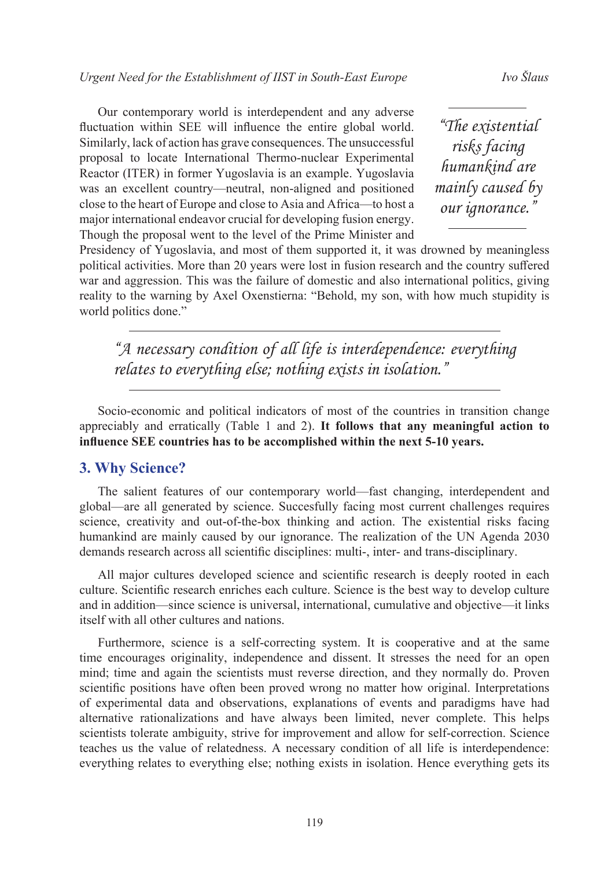Our contemporary world is interdependent and any adverse fluctuation within SEE will influence the entire global world. Similarly, lack of action has grave consequences. The unsuccessful proposal to locate International Thermo-nuclear Experimental Reactor (ITER) in former Yugoslavia is an example. Yugoslavia was an excellent country—neutral, non-aligned and positioned close to the heart of Europe and close to Asia and Africa—to host a major international endeavor crucial for developing fusion energy. Though the proposal went to the level of the Prime Minister and

*"The existential risks facing humankind are mainly caused by our ignorance."*

Presidency of Yugoslavia, and most of them supported it, it was drowned by meaningless political activities. More than 20 years were lost in fusion research and the country suffered war and aggression. This was the failure of domestic and also international politics, giving reality to the warning by Axel Oxenstierna: "Behold, my son, with how much stupidity is world politics done."

*"A necessary condition of all life is interdependence: everything relates to everything else; nothing exists in isolation."*

Socio-economic and political indicators of most of the countries in transition change appreciably and erratically (Table 1 and 2). **It follows that any meaningful action to influence SEE countries has to be accomplished within the next 5-10 years.**

### **3. Why Science?**

The salient features of our contemporary world—fast changing, interdependent and global—are all generated by science. Succesfully facing most current challenges requires science, creativity and out-of-the-box thinking and action. The existential risks facing humankind are mainly caused by our ignorance. The realization of the UN Agenda 2030 demands research across all scientific disciplines: multi-, inter- and trans-disciplinary.

All major cultures developed science and scientific research is deeply rooted in each culture. Scientific research enriches each culture. Science is the best way to develop culture and in addition—since science is universal, international, cumulative and objective—it links itself with all other cultures and nations.

Furthermore, science is a self-correcting system. It is cooperative and at the same time encourages originality, independence and dissent. It stresses the need for an open mind; time and again the scientists must reverse direction, and they normally do. Proven scientific positions have often been proved wrong no matter how original. Interpretations of experimental data and observations, explanations of events and paradigms have had alternative rationalizations and have always been limited, never complete. This helps scientists tolerate ambiguity, strive for improvement and allow for self-correction. Science teaches us the value of relatedness. A necessary condition of all life is interdependence: everything relates to everything else; nothing exists in isolation. Hence everything gets its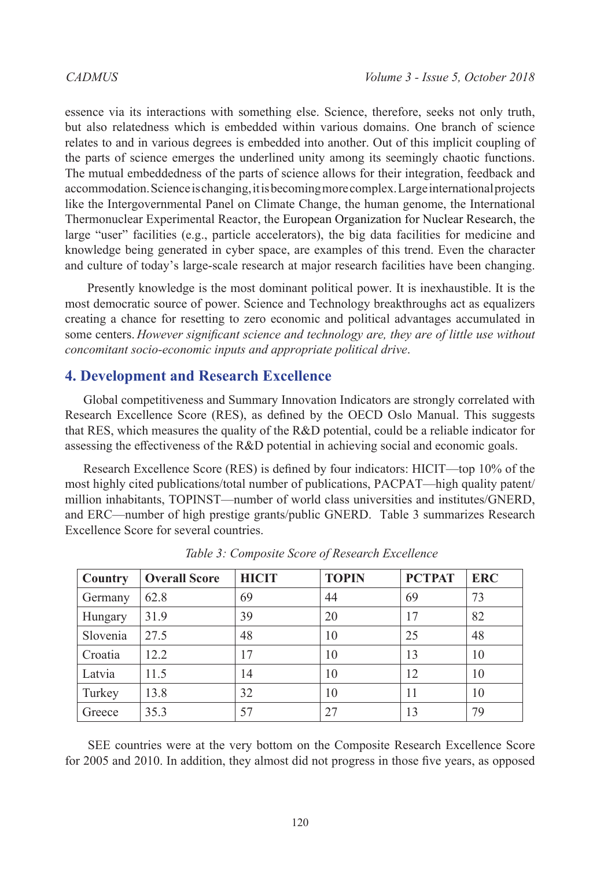essence via its interactions with something else. Science, therefore, seeks not only truth, but also relatedness which is embedded within various domains. One branch of science relates to and in various degrees is embedded into another. Out of this implicit coupling of the parts of science emerges the underlined unity among its seemingly chaotic functions. The mutual embeddedness of the parts of science allows for their integration, feedback and accommodation. Science is changing, it is becoming more complex. Large international projects like the Intergovernmental Panel on Climate Change, the human genome, the International Thermonuclear Experimental Reactor, the European Organization for Nuclear Research, the large "user" facilities (e.g., particle accelerators), the big data facilities for medicine and knowledge being generated in cyber space, are examples of this trend. Even the character and culture of today's large-scale research at major research facilities have been changing.

 Presently knowledge is the most dominant political power. It is inexhaustible. It is the most democratic source of power. Science and Technology breakthroughs act as equalizers creating a chance for resetting to zero economic and political advantages accumulated in some centers. *However significant science and technology are, they are of little use without concomitant socio-economic inputs and appropriate political drive*.

### **4. Development and Research Excellence**

Global competitiveness and Summary Innovation Indicators are strongly correlated with Research Excellence Score (RES), as defined by the OECD Oslo Manual. This suggests that RES, which measures the quality of the R&D potential, could be a reliable indicator for assessing the effectiveness of the R&D potential in achieving social and economic goals.

Research Excellence Score (RES) is defined by four indicators: HICIT—top 10% of the most highly cited publications/total number of publications, PACPAT—high quality patent/ million inhabitants, TOPINST—number of world class universities and institutes/GNERD, and ERC—number of high prestige grants/public GNERD. Table 3 summarizes Research Excellence Score for several countries.

| Country  | <b>Overall Score</b> | <b>HICIT</b> | <b>TOPIN</b> | <b>PCTPAT</b> | <b>ERC</b> |
|----------|----------------------|--------------|--------------|---------------|------------|
| Germany  | 62.8                 | 69           | 44           | 69            | 73         |
| Hungary  | 31.9                 | 39           | 20           | 17            | 82         |
| Slovenia | 27.5                 | 48           | 10           | 25            | 48         |
| Croatia  | 12.2                 | 17           | 10           | 13            | 10         |
| Latvia   | 11.5                 | 14           | 10           | 12            | 10         |
| Turkey   | 13.8                 | 32           | 10           | 11            | 10         |
| Greece   | 35.3                 | 57           | 27           | 13            | 79         |

*Table 3: Composite Score of Research Excellence*

 SEE countries were at the very bottom on the Composite Research Excellence Score for 2005 and 2010. In addition, they almost did not progress in those five years, as opposed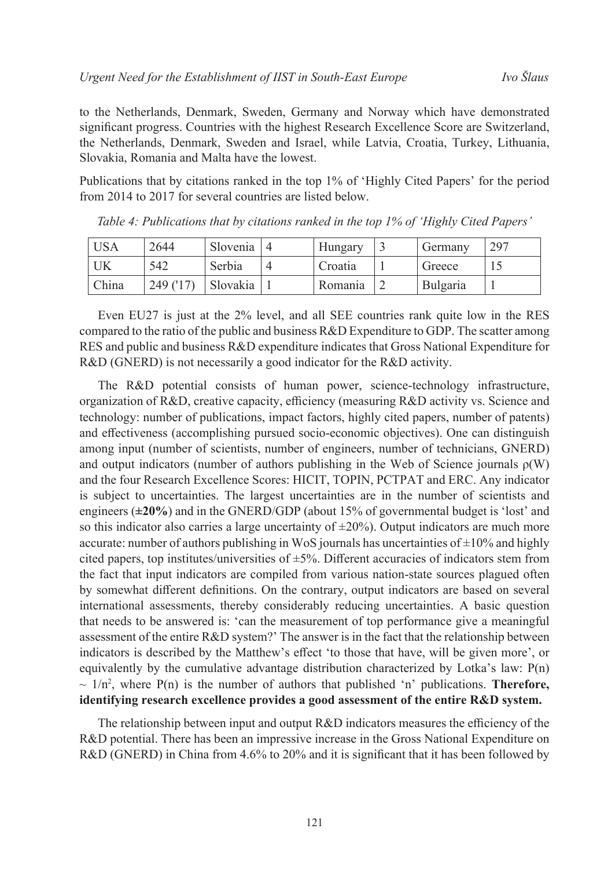to the Netherlands, Denmark, Sweden, Germany and Norway which have demonstrated significant progress. Countries with the highest Research Excellence Score are Switzerland, the Netherlands, Denmark, Sweden and Israel, while Latvia, Croatia, Turkey, Lithuania, Slovakia, Romania and Malta have the lowest.

Publications that by citations ranked in the top 1% of 'Highly Cited Papers' for the period from 2014 to 2017 for several countries are listed below.

| USA <sup>-</sup> | 2644    | Slovenia | Hungary | Germany  | 297 |
|------------------|---------|----------|---------|----------|-----|
|                  | 542     | Serbia   | Croatia | Greece   |     |
| China            | 249(17) | Slovakia | Romania | Bulgaria |     |

*Table 4: Publications that by citations ranked in the top 1% of 'Highly Cited Papers'*

Even EU27 is just at the 2% level, and all SEE countries rank quite low in the RES compared to the ratio of the public and business  $R&D$  Expenditure to GDP. The scatter among RES and public and business R&D expenditure indicates that Gross National Expenditure for R&D (GNERD) is not necessarily a good indicator for the R&D activity.

The R&D potential consists of human power, science-technology infrastructure, organization of R&D, creative capacity, efficiency (measuring R&D activity vs. Science and technology: number of publications, impact factors, highly cited papers, number of patents) and effectiveness (accomplishing pursued socio-economic objectives). One can distinguish among input (number of scientists, number of engineers, number of technicians, GNERD) and output indicators (number of authors publishing in the Web of Science journals  $\rho(W)$ ) and the four Research Excellence Scores: HICIT, TOPIN, PCTPAT and ERC. Any indicator is subject to uncertainties. The largest uncertainties are in the number of scientists and engineers (**±20%**) and in the GNERD/GDP (about 15% of governmental budget is 'lost' and so this indicator also carries a large uncertainty of  $\pm 20\%$ ). Output indicators are much more accurate: number of authors publishing in WoS journals has uncertainties of  $\pm 10\%$  and highly cited papers, top institutes/universities of  $\pm$ 5%. Different accuracies of indicators stem from the fact that input indicators are compiled from various nation-state sources plagued often by somewhat different definitions. On the contrary, output indicators are based on several international assessments, thereby considerably reducing uncertainties. A basic question that needs to be answered is: 'can the measurement of top performance give a meaningful assessment of the entire R&D system?' The answer is in the fact that the relationship between indicators is described by the Matthew's effect 'to those that have, will be given more', or equivalently by the cumulative advantage distribution characterized by Lotka's law: P(n)  $\sim 1/n^2$ , where P(n) is the number of authors that published 'n' publications. **Therefore, identifying research excellence provides a good assessment of the entire R&D system.**

The relationship between input and output R&D indicators measures the efficiency of the R&D potential. There has been an impressive increase in the Gross National Expenditure on R&D (GNERD) in China from 4.6% to 20% and it is significant that it has been followed by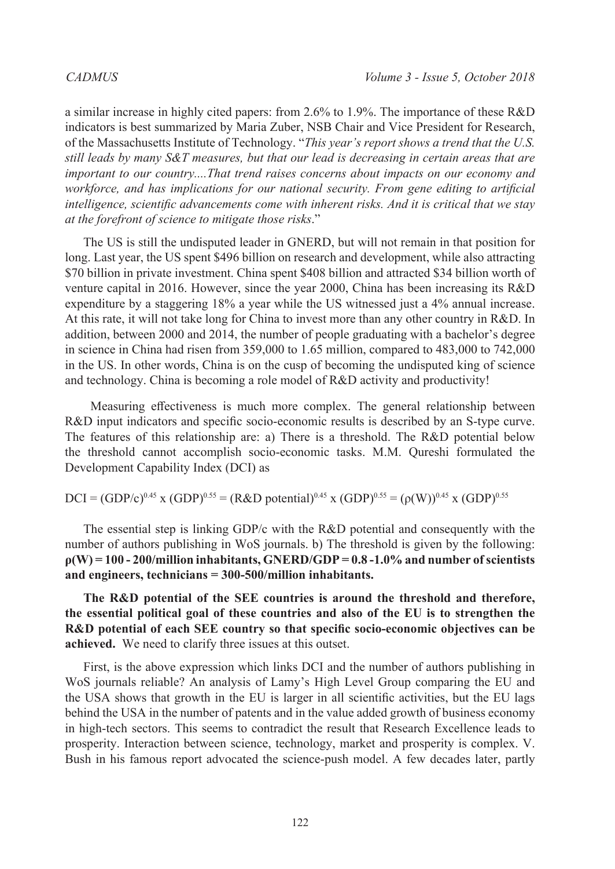a similar increase in highly cited papers: from 2.6% to 1.9%. The importance of these R&D indicators is best summarized by Maria Zuber, NSB Chair and Vice President for Research, of the Massachusetts Institute of Technology. "*This year's report shows a trend that the U.S. still leads by many S&T measures, but that our lead is decreasing in certain areas that are important to our country....That trend raises concerns about impacts on our economy and workforce, and has implications for our national security. From gene editing to artificial intelligence, scientific advancements come with inherent risks. And it is critical that we stay at the forefront of science to mitigate those risks*."

The US is still the undisputed leader in GNERD, but will not remain in that position for long. Last year, the US spent \$496 billion on research and development, while also attracting \$70 billion in private investment. China spent \$408 billion and attracted \$34 billion worth of venture capital in 2016. However, since the year 2000, China has been increasing its R&D expenditure by a staggering 18% a year while the US witnessed just a 4% annual increase. At this rate, it will not take long for China to invest more than any other country in R&D. In addition, between 2000 and 2014, the number of people graduating with a bachelor's degree in science in China had risen from 359,000 to 1.65 million, compared to 483,000 to 742,000 in the US. In other words, China is on the cusp of becoming the undisputed king of science and technology. China is becoming a role model of R&D activity and productivity!

Measuring effectiveness is much more complex. The general relationship between R&D input indicators and specific socio-economic results is described by an S-type curve. The features of this relationship are: a) There is a threshold. The R&D potential below the threshold cannot accomplish socio-economic tasks. M.M. Qureshi formulated the Development Capability Index (DCI) as

 $DCI = (GDP/c)^{0.45}$  x  $(GDP)^{0.55} = (R&D$  potential)<sup>0.45</sup> x  $(GDP)^{0.55} = (\rho(W))^{0.45}$  x  $(GDP)^{0.55}$ 

The essential step is linking GDP/c with the R&D potential and consequently with the number of authors publishing in WoS journals. b) The threshold is given by the following: **ρ(W) = 100 - 200/million inhabitants, GNERD/GDP = 0.8 -1.0% and number of scientists and engineers, technicians = 300-500/million inhabitants.**

**The R&D potential of the SEE countries is around the threshold and therefore, the essential political goal of these countries and also of the EU is to strengthen the R&D potential of each SEE country so that specific socio-economic objectives can be achieved.** We need to clarify three issues at this outset.

First, is the above expression which links DCI and the number of authors publishing in WoS journals reliable? An analysis of Lamy's High Level Group comparing the EU and the USA shows that growth in the EU is larger in all scientific activities, but the EU lags behind the USA in the number of patents and in the value added growth of business economy in high-tech sectors. This seems to contradict the result that Research Excellence leads to prosperity. Interaction between science, technology, market and prosperity is complex. V. Bush in his famous report advocated the science-push model. A few decades later, partly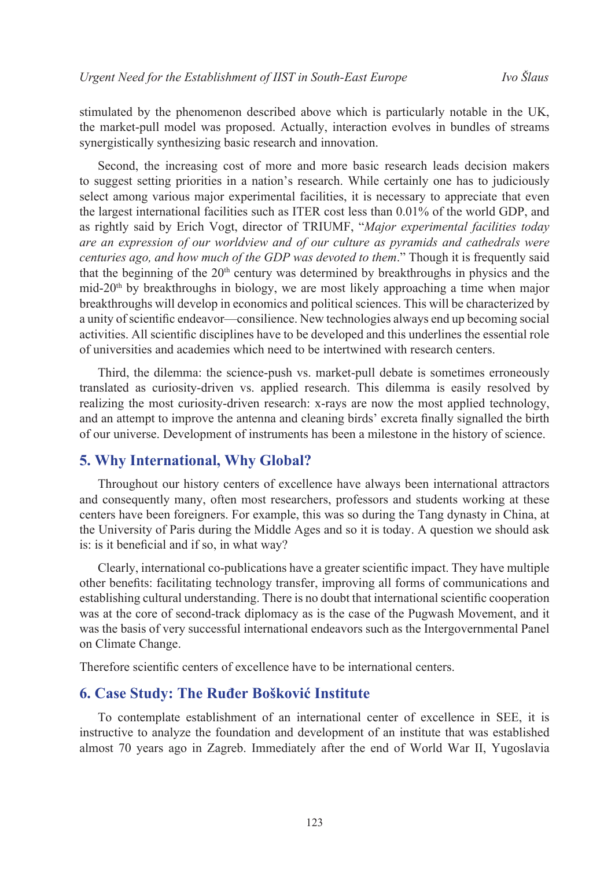stimulated by the phenomenon described above which is particularly notable in the UK, the market-pull model was proposed. Actually, interaction evolves in bundles of streams synergistically synthesizing basic research and innovation.

Second, the increasing cost of more and more basic research leads decision makers to suggest setting priorities in a nation's research. While certainly one has to judiciously select among various major experimental facilities, it is necessary to appreciate that even the largest international facilities such as ITER cost less than 0.01% of the world GDP, and as rightly said by Erich Vogt, director of TRIUMF, "*Major experimental facilities today are an expression of our worldview and of our culture as pyramids and cathedrals were centuries ago, and how much of the GDP was devoted to them*." Though it is frequently said that the beginning of the  $20<sup>th</sup>$  century was determined by breakthroughs in physics and the mid-20<sup>th</sup> by breakthroughs in biology, we are most likely approaching a time when major breakthroughs will develop in economics and political sciences. This will be characterized by a unity of scientific endeavor—consilience. New technologies always end up becoming social activities. All scientific disciplines have to be developed and this underlines the essential role of universities and academies which need to be intertwined with research centers.

Third, the dilemma: the science-push vs. market-pull debate is sometimes erroneously translated as curiosity-driven vs. applied research. This dilemma is easily resolved by realizing the most curiosity-driven research: x-rays are now the most applied technology, and an attempt to improve the antenna and cleaning birds' excreta finally signalled the birth of our universe. Development of instruments has been a milestone in the history of science.

### **5. Why International, Why Global?**

Throughout our history centers of excellence have always been international attractors and consequently many, often most researchers, professors and students working at these centers have been foreigners. For example, this was so during the Tang dynasty in China, at the University of Paris during the Middle Ages and so it is today. A question we should ask is: is it beneficial and if so, in what way?

Clearly, international co-publications have a greater scientific impact. They have multiple other benefits: facilitating technology transfer, improving all forms of communications and establishing cultural understanding. There is no doubt that international scientific cooperation was at the core of second-track diplomacy as is the case of the Pugwash Movement, and it was the basis of very successful international endeavors such as the Intergovernmental Panel on Climate Change.

Therefore scientific centers of excellence have to be international centers.

### **6. Case Study: The Ruđer Bošković Institute**

To contemplate establishment of an international center of excellence in SEE, it is instructive to analyze the foundation and development of an institute that was established almost 70 years ago in Zagreb. Immediately after the end of World War II, Yugoslavia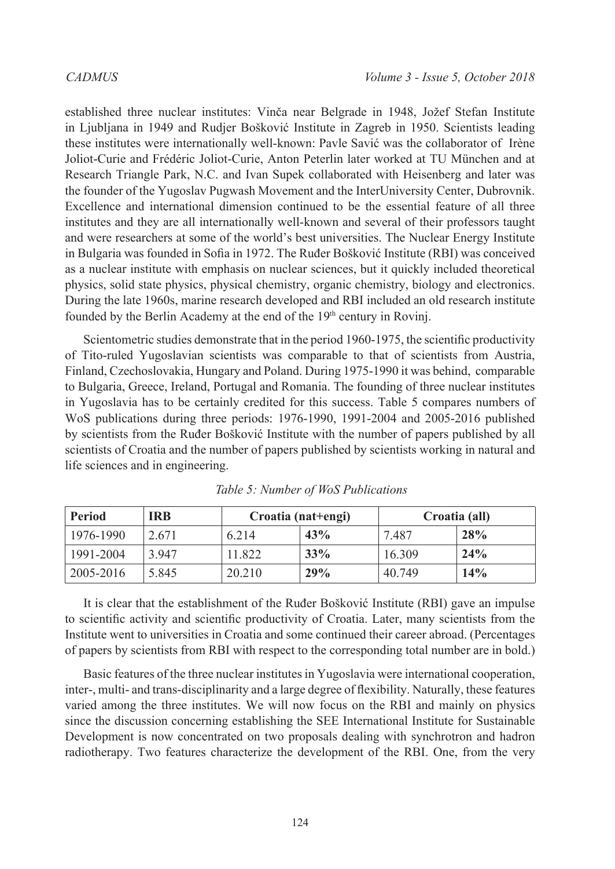established three nuclear institutes: Vinča near Belgrade in 1948, Jožef Stefan Institute in Ljubljana in 1949 and Rudjer Bošković Institute in Zagreb in 1950. Scientists leading these institutes were internationally well-known: Pavle Savić was the collaborator of Irène Joliot-Curie and Frédéric Joliot-Curie, Anton Peterlin later worked at TU München and at Research Triangle Park, N.C. and Ivan Supek collaborated with Heisenberg and later was the founder of the Yugoslav Pugwash Movement and the InterUniversity Center, Dubrovnik. Excellence and international dimension continued to be the essential feature of all three institutes and they are all internationally well-known and several of their professors taught and were researchers at some of the world's best universities. The Nuclear Energy Institute in Bulgaria was founded in Sofia in 1972. The Ruđer Bošković Institute (RBI) was conceived as a nuclear institute with emphasis on nuclear sciences, but it quickly included theoretical physics, solid state physics, physical chemistry, organic chemistry, biology and electronics. During the late 1960s, marine research developed and RBI included an old research institute founded by the Berlin Academy at the end of the 19<sup>th</sup> century in Rovinj.

Scientometric studies demonstrate that in the period 1960-1975, the scientific productivity of Tito-ruled Yugoslavian scientists was comparable to that of scientists from Austria, Finland, Czechoslovakia, Hungary and Poland. During 1975-1990 it was behind, comparable to Bulgaria, Greece, Ireland, Portugal and Romania. The founding of three nuclear institutes in Yugoslavia has to be certainly credited for this success. Table 5 compares numbers of WoS publications during three periods: 1976-1990, 1991-2004 and 2005-2016 published by scientists from the Ruđer Bošković Institute with the number of papers published by all scientists of Croatia and the number of papers published by scientists working in natural and life sciences and in engineering.

| <b>Period</b>            | <b>IRB</b> | Croatia (nat+engi) |     | Croatia (all) |     |
|--------------------------|------------|--------------------|-----|---------------|-----|
| 1976-1990                | 2.671      | 6.214              | 43% | 7.487         | 28% |
| 1991-2004                | 3.947      | 11.822             | 33% | 16.309        | 24% |
| $\frac{12005 - 2016}{ }$ | 5.845      | 20.210             | 29% | 40.749        | 14% |

*Table 5: Number of WoS Publications*

It is clear that the establishment of the Ruđer Bošković Institute (RBI) gave an impulse to scientific activity and scientific productivity of Croatia. Later, many scientists from the Institute went to universities in Croatia and some continued their career abroad. (Percentages of papers by scientists from RBI with respect to the corresponding total number are in bold.)

Basic features of the three nuclear institutes in Yugoslavia were international cooperation, inter-, multi- and trans-disciplinarity and a large degree of flexibility. Naturally, these features varied among the three institutes. We will now focus on the RBI and mainly on physics since the discussion concerning establishing the SEE International Institute for Sustainable Development is now concentrated on two proposals dealing with synchrotron and hadron radiotherapy. Two features characterize the development of the RBI. One, from the very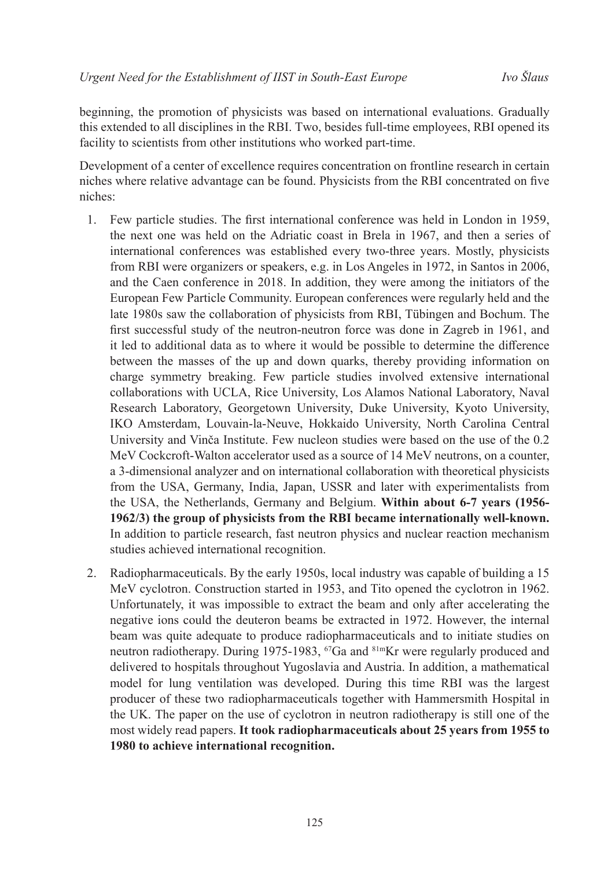beginning, the promotion of physicists was based on international evaluations. Gradually this extended to all disciplines in the RBI. Two, besides full-time employees, RBI opened its facility to scientists from other institutions who worked part-time.

Development of a center of excellence requires concentration on frontline research in certain niches where relative advantage can be found. Physicists from the RBI concentrated on five niches:

- 1. Few particle studies. The first international conference was held in London in 1959, the next one was held on the Adriatic coast in Brela in 1967, and then a series of international conferences was established every two-three years. Mostly, physicists from RBI were organizers or speakers, e.g. in Los Angeles in 1972, in Santos in 2006, and the Caen conference in 2018. In addition, they were among the initiators of the European Few Particle Community. European conferences were regularly held and the late 1980s saw the collaboration of physicists from RBI, Tübingen and Bochum. The first successful study of the neutron-neutron force was done in Zagreb in 1961, and it led to additional data as to where it would be possible to determine the difference between the masses of the up and down quarks, thereby providing information on charge symmetry breaking. Few particle studies involved extensive international collaborations with UCLA, Rice University, Los Alamos National Laboratory, Naval Research Laboratory, Georgetown University, Duke University, Kyoto University, IKO Amsterdam, Louvain-la-Neuve, Hokkaido University, North Carolina Central University and Vinča Institute. Few nucleon studies were based on the use of the 0.2 MeV Cockcroft-Walton accelerator used as a source of 14 MeV neutrons, on a counter, a 3-dimensional analyzer and on international collaboration with theoretical physicists from the USA, Germany, India, Japan, USSR and later with experimentalists from the USA, the Netherlands, Germany and Belgium. **Within about 6-7 years (1956- 1962/3) the group of physicists from the RBI became internationally well-known.** In addition to particle research, fast neutron physics and nuclear reaction mechanism studies achieved international recognition.
- 2. Radiopharmaceuticals. By the early 1950s, local industry was capable of building a 15 MeV cyclotron. Construction started in 1953, and Tito opened the cyclotron in 1962. Unfortunately, it was impossible to extract the beam and only after accelerating the negative ions could the deuteron beams be extracted in 1972. However, the internal beam was quite adequate to produce radiopharmaceuticals and to initiate studies on neutron radiotherapy. During 1975-1983, <sup>67</sup>Ga and <sup>81m</sup>Kr were regularly produced and delivered to hospitals throughout Yugoslavia and Austria. In addition, a mathematical model for lung ventilation was developed. During this time RBI was the largest producer of these two radiopharmaceuticals together with Hammersmith Hospital in the UK. The paper on the use of cyclotron in neutron radiotherapy is still one of the most widely read papers. **It took radiopharmaceuticals about 25 years from 1955 to 1980 to achieve international recognition.**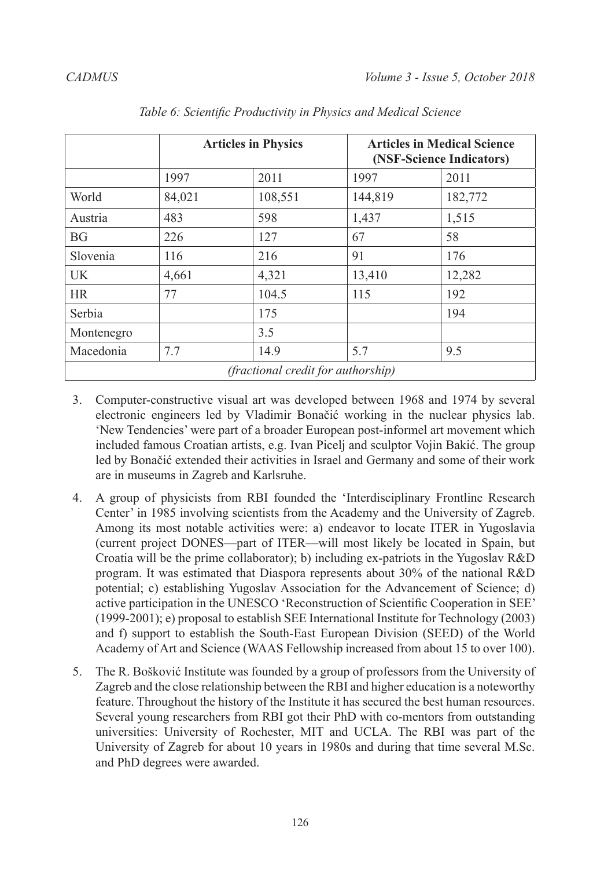|            | <b>Articles in Physics</b> |                                    | <b>Articles in Medical Science</b><br>(NSF-Science Indicators) |         |  |
|------------|----------------------------|------------------------------------|----------------------------------------------------------------|---------|--|
|            | 1997                       | 2011                               | 1997                                                           | 2011    |  |
| World      | 84,021                     | 108,551                            | 144,819                                                        | 182,772 |  |
| Austria    | 483                        | 598                                | 1,437                                                          | 1,515   |  |
| <b>BG</b>  | 226                        | 127                                | 67                                                             | 58      |  |
| Slovenia   | 116                        | 216                                | 91                                                             | 176     |  |
| UK.        | 4,661                      | 4,321                              | 13,410                                                         | 12,282  |  |
| <b>HR</b>  | 77                         | 104.5                              | 115                                                            | 192     |  |
| Serbia     |                            | 175                                |                                                                | 194     |  |
| Montenegro |                            | 3.5                                |                                                                |         |  |
| Macedonia  | 7.7                        | 14.9                               | 5.7                                                            | 9.5     |  |
|            |                            | (fractional credit for authorship) |                                                                |         |  |

*Table 6: Scientific Productivity in Physics and Medical Science*

- 3. Computer-constructive visual art was developed between 1968 and 1974 by several electronic engineers led by Vladimir Bonačić working in the nuclear physics lab. 'New Tendencies' were part of a broader European post-informel art movement which included famous Croatian artists, e.g. Ivan Picelj and sculptor Vojin Bakić. The group led by Bonačić extended their activities in Israel and Germany and some of their work are in museums in Zagreb and Karlsruhe.
- 4. A group of physicists from RBI founded the 'Interdisciplinary Frontline Research Center' in 1985 involving scientists from the Academy and the University of Zagreb. Among its most notable activities were: a) endeavor to locate ITER in Yugoslavia (current project DONES—part of ITER—will most likely be located in Spain, but Croatia will be the prime collaborator); b) including ex-patriots in the Yugoslav R&D program. It was estimated that Diaspora represents about 30% of the national R&D potential; c) establishing Yugoslav Association for the Advancement of Science; d) active participation in the UNESCO 'Reconstruction of Scientific Cooperation in SEE' (1999-2001); e) proposal to establish SEE International Institute for Technology (2003) and f) support to establish the South-East European Division (SEED) of the World Academy of Art and Science (WAAS Fellowship increased from about 15 to over 100).
- 5. The R. Bošković Institute was founded by a group of professors from the University of Zagreb and the close relationship between the RBI and higher education is a noteworthy feature. Throughout the history of the Institute it has secured the best human resources. Several young researchers from RBI got their PhD with co-mentors from outstanding universities: University of Rochester, MIT and UCLA. The RBI was part of the University of Zagreb for about 10 years in 1980s and during that time several M.Sc. and PhD degrees were awarded.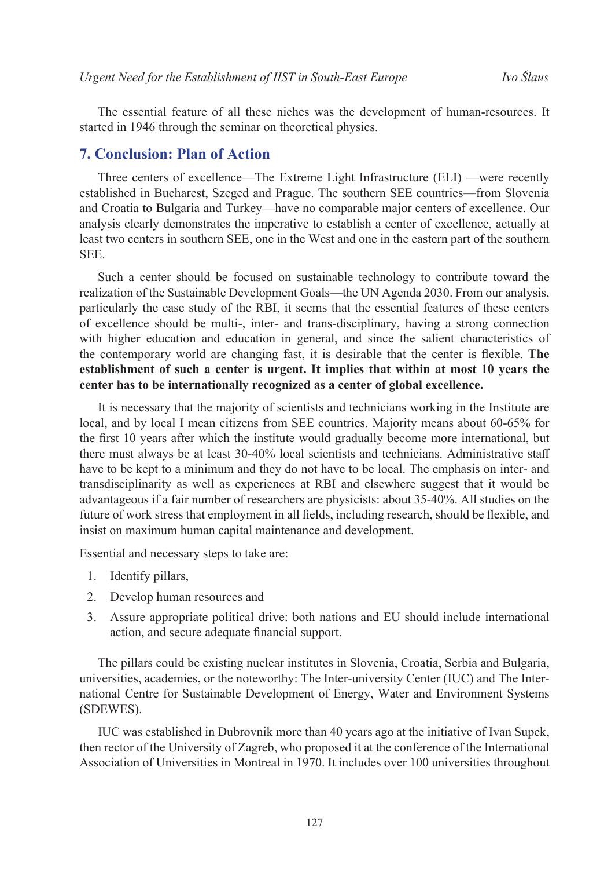The essential feature of all these niches was the development of human-resources. It started in 1946 through the seminar on theoretical physics.

### **7. Conclusion: Plan of Action**

Three centers of excellence—The Extreme Light Infrastructure (ELI) —were recently established in Bucharest, Szeged and Prague. The southern SEE countries—from Slovenia and Croatia to Bulgaria and Turkey—have no comparable major centers of excellence. Our analysis clearly demonstrates the imperative to establish a center of excellence, actually at least two centers in southern SEE, one in the West and one in the eastern part of the southern SEE.

Such a center should be focused on sustainable technology to contribute toward the realization of the Sustainable Development Goals—the UN Agenda 2030. From our analysis, particularly the case study of the RBI, it seems that the essential features of these centers of excellence should be multi-, inter- and trans-disciplinary, having a strong connection with higher education and education in general, and since the salient characteristics of the contemporary world are changing fast, it is desirable that the center is flexible. **The establishment of such a center is urgent. It implies that within at most 10 years the center has to be internationally recognized as a center of global excellence.**

It is necessary that the majority of scientists and technicians working in the Institute are local, and by local I mean citizens from SEE countries. Majority means about 60-65% for the first 10 years after which the institute would gradually become more international, but there must always be at least 30-40% local scientists and technicians. Administrative staff have to be kept to a minimum and they do not have to be local. The emphasis on inter- and transdisciplinarity as well as experiences at RBI and elsewhere suggest that it would be advantageous if a fair number of researchers are physicists: about 35-40%. All studies on the future of work stress that employment in all fields, including research, should be flexible, and insist on maximum human capital maintenance and development.

Essential and necessary steps to take are:

- 1. Identify pillars,
- 2. Develop human resources and
- 3. Assure appropriate political drive: both nations and EU should include international action, and secure adequate financial support.

The pillars could be existing nuclear institutes in Slovenia, Croatia, Serbia and Bulgaria, universities, academies, or the noteworthy: The Inter-university Center (IUC) and The International Centre for Sustainable Development of Energy, Water and Environment Systems (SDEWES).

IUC was established in Dubrovnik more than 40 years ago at the initiative of Ivan Supek, then rector of the University of Zagreb, who proposed it at the conference of the International Association of Universities in Montreal in 1970. It includes over 100 universities throughout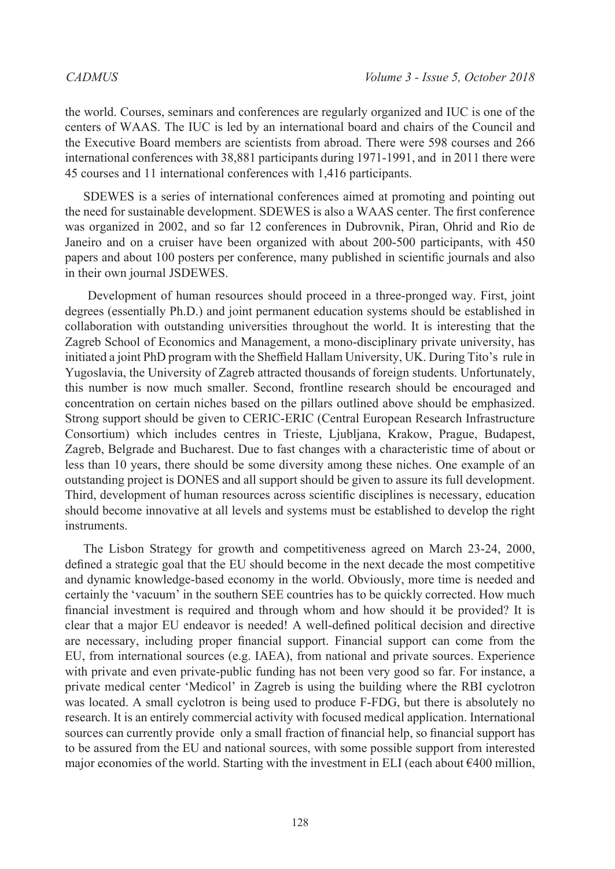the world. Courses, seminars and conferences are regularly organized and IUC is one of the centers of WAAS. The IUC is led by an international board and chairs of the Council and the Executive Board members are scientists from abroad. There were 598 courses and 266 international conferences with 38,881 participants during 1971-1991, and in 2011 there were 45 courses and 11 international conferences with 1,416 participants.

SDEWES is a series of international conferences aimed at promoting and pointing out the need for sustainable development. SDEWES is also a WAAS center. The first conference was organized in 2002, and so far 12 conferences in Dubrovnik, Piran, Ohrid and Rio de Janeiro and on a cruiser have been organized with about 200-500 participants, with 450 papers and about 100 posters per conference, many published in scientific journals and also in their own journal JSDEWES.

 Development of human resources should proceed in a three-pronged way. First, joint degrees (essentially Ph.D.) and joint permanent education systems should be established in collaboration with outstanding universities throughout the world. It is interesting that the Zagreb School of Economics and Management, a mono-disciplinary private university, has initiated a joint PhD program with the Sheffield Hallam University, UK. During Tito's rule in Yugoslavia, the University of Zagreb attracted thousands of foreign students. Unfortunately, this number is now much smaller. Second, frontline research should be encouraged and concentration on certain niches based on the pillars outlined above should be emphasized. Strong support should be given to CERIC-ERIC (Central European Research Infrastructure Consortium) which includes centres in Trieste, Ljubljana, Krakow, Prague, Budapest, Zagreb, Belgrade and Bucharest. Due to fast changes with a characteristic time of about or less than 10 years, there should be some diversity among these niches. One example of an outstanding project is DONES and all support should be given to assure its full development. Third, development of human resources across scientific disciplines is necessary, education should become innovative at all levels and systems must be established to develop the right instruments.

The Lisbon Strategy for growth and competitiveness agreed on March 23-24, 2000, defined a strategic goal that the EU should become in the next decade the most competitive and dynamic knowledge-based economy in the world. Obviously, more time is needed and certainly the 'vacuum' in the southern SEE countries has to be quickly corrected. How much financial investment is required and through whom and how should it be provided? It is clear that a major EU endeavor is needed! A well-defined political decision and directive are necessary, including proper financial support. Financial support can come from the EU, from international sources (e.g. IAEA), from national and private sources. Experience with private and even private-public funding has not been very good so far. For instance, a private medical center 'Medicol' in Zagreb is using the building where the RBI cyclotron was located. A small cyclotron is being used to produce F-FDG, but there is absolutely no research. It is an entirely commercial activity with focused medical application. International sources can currently provide only a small fraction of financial help, so financial support has to be assured from the EU and national sources, with some possible support from interested major economies of the world. Starting with the investment in ELI (each about  $\epsilon$ 400 million,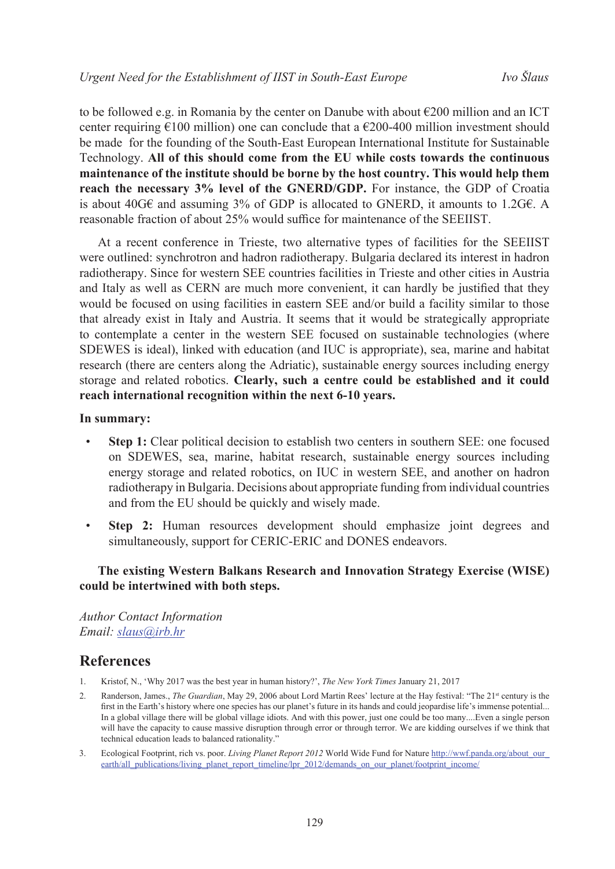to be followed e.g. in Romania by the center on Danube with about  $\epsilon$ 200 million and an ICT center requiring  $\epsilon$ 100 million) one can conclude that a  $\epsilon$ 200-400 million investment should be made for the founding of the South-East European International Institute for Sustainable Technology. **All of this should come from the EU while costs towards the continuous maintenance of the institute should be borne by the host country. This would help them reach the necessary 3% level of the GNERD/GDP.** For instance, the GDP of Croatia is about 40G€ and assuming 3% of GDP is allocated to GNERD, it amounts to 1.2G€. A reasonable fraction of about 25% would suffice for maintenance of the SEEIIST.

At a recent conference in Trieste, two alternative types of facilities for the SEEIIST were outlined: synchrotron and hadron radiotherapy. Bulgaria declared its interest in hadron radiotherapy. Since for western SEE countries facilities in Trieste and other cities in Austria and Italy as well as CERN are much more convenient, it can hardly be justified that they would be focused on using facilities in eastern SEE and/or build a facility similar to those that already exist in Italy and Austria. It seems that it would be strategically appropriate to contemplate a center in the western SEE focused on sustainable technologies (where SDEWES is ideal), linked with education (and IUC is appropriate), sea, marine and habitat research (there are centers along the Adriatic), sustainable energy sources including energy storage and related robotics. **Clearly, such a centre could be established and it could reach international recognition within the next 6-10 years.**

#### **In summary:**

- **Step 1:** Clear political decision to establish two centers in southern SEE: one focused on SDEWES, sea, marine, habitat research, sustainable energy sources including energy storage and related robotics, on IUC in western SEE, and another on hadron radiotherapy in Bulgaria. Decisions about appropriate funding from individual countries and from the EU should be quickly and wisely made.
- **Step 2:** Human resources development should emphasize joint degrees and simultaneously, support for CERIC-ERIC and DONES endeavors.

### **The existing Western Balkans Research and Innovation Strategy Exercise (WISE) could be intertwined with both steps.**

*Author Contact Information Email: [slaus@irb.hr](mailto:slaus%40irb.hr?subject=)*

# **References**

- 1. Kristof, N., 'Why 2017 was the best year in human history?', *The New York Times* January 21, 2017
- 2. Randerson, James., *The Guardian*, May 29, 2006 about Lord Martin Rees' lecture at the Hay festival: "The 21<sup>st</sup> century is the first in the Earth's history where one species has our planet's future in its hands and could jeopardise life's immense potential... In a global village there will be global village idiots. And with this power, just one could be too many....Even a single person will have the capacity to cause massive disruption through error or through terror. We are kidding ourselves if we think that technical education leads to balanced rationality."
- 3. Ecological Footprint, rich vs. poor. *Living Planet Report 2012* World Wide Fund for Nature http://wwf.panda.org/about\_our [earth/all\\_publications/living\\_planet\\_report\\_timeline/lpr\\_2012/demands\\_on\\_our\\_planet/footprint\\_income/](http://wwf.panda.org/about_our_earth/all_publications/living_planet_report_timeline/lpr_2012/demands_on_our_planet/footprint_income/)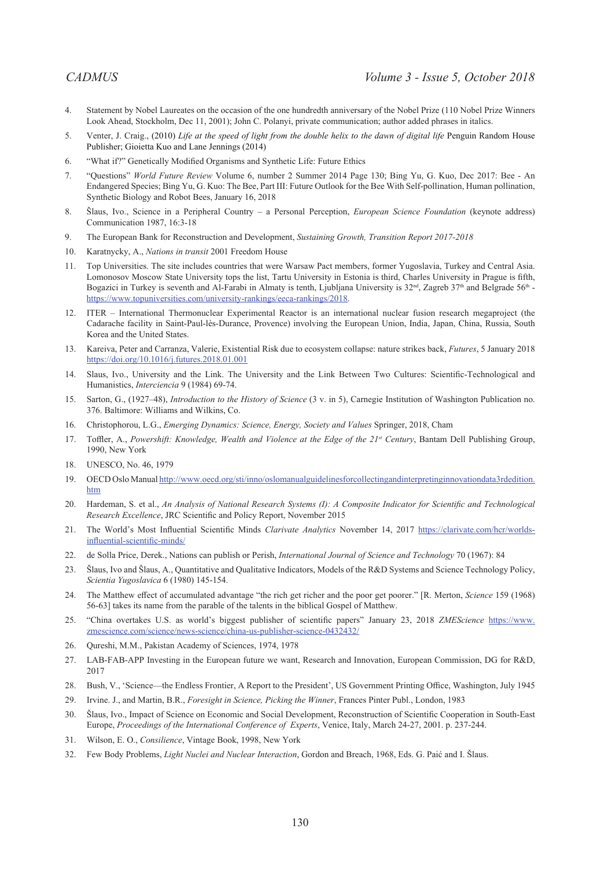- 4. Statement by Nobel Laureates on the occasion of the one hundredth anniversary of the Nobel Prize (110 Nobel Prize Winners Look Ahead, Stockholm, Dec 11, 2001); John C. Polanyi, private communication; author added phrases in italics.
- 5. Venter, J. Craig., (2010) *Life at the speed of light from the double helix to the dawn of digital life* Penguin Random House Publisher; Gioietta Kuo and Lane Jennings (2014)
- 6. "What if?" Genetically Modified Organisms and Synthetic Life: Future Ethics
- 7. "Questions" *World Future Review* Volume 6, number 2 Summer 2014 Page 130; Bing Yu, G. Kuo, Dec 2017: Bee An Endangered Species; Bing Yu, G. Kuo: The Bee, Part III: Future Outlook for the Bee With Self-pollination, Human pollination, Synthetic Biology and Robot Bees, January 16, 2018
- 8. Šlaus, Ivo., Science in a Peripheral Country a Personal Perception, *European Science Foundation* (keynote address) Communication 1987, 16:3-18
- 9. The European Bank for Reconstruction and Development, *Sustaining Growth, Transition Report 2017-2018*
- 10. Karatnycky, A., *Nations in transit* 2001 Freedom House
- 11. Top Universities. The site includes countries that were Warsaw Pact members, former Yugoslavia, Turkey and Central Asia. Lomonosov Moscow State University tops the list, Tartu University in Estonia is third, Charles University in Prague is fifth, Bogazici in Turkey is seventh and Al-Farabi in Almaty is tenth, Ljubljana University is 32<sup>nd</sup>, Zagreb 37<sup>th</sup> and Belgrade 56<sup>th</sup> <https://www.topuniversities.com/university-rankings/eeca-rankings/2018>.
- 12. ITER International Thermonuclear Experimental Reactor is an international nuclear fusion research megaproject (the Cadarache facility in Saint-Paul-lès-Durance, Provence) involving the European Union, India, Japan, China, Russia, South Korea and the United States.
- 13. Kareiva, Peter and Carranza, Valerie, Existential Risk due to ecosystem collapse: nature strikes back, *Futures*, 5 January 2018 <https://doi.org/10.1016/j.futures.2018.01.001>
- 14. Slaus, Ivo., University and the Link. The University and the Link Between Two Cultures: Scientific-Technological and Humanistics, *Interciencia* 9 (1984) 69-74.
- 15. Sarton, G., (1927–48), *Introduction to the History of Science* (3 v. in 5), Carnegie Institution of Washington Publication no. 376. Baltimore: Williams and Wilkins, Co.
- 16. Christophorou, L.G., *Emerging Dynamics: Science, Energy, Society and Values* Springer, 2018, Cham
- 17. Toffler, A., *Powershift: Knowledge, Wealth and Violence at the Edge of the 21st Century*, Bantam Dell Publishing Group, 1990, New York
- 18. UNESCO, No. 46, 1979
- 19. OECD Oslo Manual [http://www.oecd.org/sti/inno/oslomanualguidelinesforcollectingandinterpretinginnovationdata3rdedition.](http://www.oecd.org/sti/inno/oslomanualguidelinesforcollectingandinterpretinginnovationdata3rdedition.htm) [htm](http://www.oecd.org/sti/inno/oslomanualguidelinesforcollectingandinterpretinginnovationdata3rdedition.htm)
- 20. Hardeman, S. et al., *An Analysis of National Research Systems (I): A Composite Indicator for Scientific and Technological Research Excellence*, JRC Scientific and Policy Report, November 2015
- 21. The World's Most Influential Scientific Minds *Clarivate Analytics* November 14, 2017 [https://clarivate.com/hcr/worlds](https://clarivate.com/hcr/worlds-influential-scientific-minds/?utm_campaign=16508-hcrlaunch17&utm_source=wosac&utm_medium=email&utm_content=data-vis)[influential-scientific-minds/](https://clarivate.com/hcr/worlds-influential-scientific-minds/?utm_campaign=16508-hcrlaunch17&utm_source=wosac&utm_medium=email&utm_content=data-vis)
- 22. de Solla Price, Derek., Nations can publish or Perish, *International Journal of Science and Technology* 70 (1967): 84
- 23. Šlaus, Ivo and Šlaus, A., Quantitative and Qualitative Indicators, Models of the R&D Systems and Science Technology Policy, *Scientia Yugoslavica* 6 (1980) 145-154.
- 24. The Matthew effect of accumulated advantage "the rich get richer and the poor get poorer." [R. Merton, *Science* 159 (1968) 56-63] takes its name from the parable of the talents in the biblical Gospel of Matthew.
- 25. "China overtakes U.S. as world's biggest publisher of scientific papers" January 23, 2018 *ZMEScience* [https://www.](https://www.zmescience.com/science/news-science/china-us-publisher-science-0432432/) [zmescience.com/science/news-science/china-us-publisher-science-0432432/](https://www.zmescience.com/science/news-science/china-us-publisher-science-0432432/)
- 26. Qureshi, M.M., Pakistan Academy of Sciences, 1974, 1978
- 27. LAB-FAB-APP Investing in the European future we want, Research and Innovation, European Commission, DG for R&D, 2017
- 28. Bush, V., 'Science—the Endless Frontier, A Report to the President', US Government Printing Office, Washington, July 1945
- 29. Irvine. J., and Martin, B.R., *Foresight in Science, Picking the Winner*, Frances Pinter Publ., London, 1983
- 30. Šlaus, Ivo., Impact of Science on Economic and Social Development, Reconstruction of Scientific Cooperation in South-East Europe, *Proceedings of the International Conference of Experts*, Venice, Italy, March 24-27, 2001. p. 237-244.
- 31. Wilson, E. O., *Consilience*, Vintage Book, 1998, New York
- 32. Few Body Problems, *Light Nuclei and Nuclear Interaction*, Gordon and Breach, 1968, Eds. G. Paić and I. Šlaus.